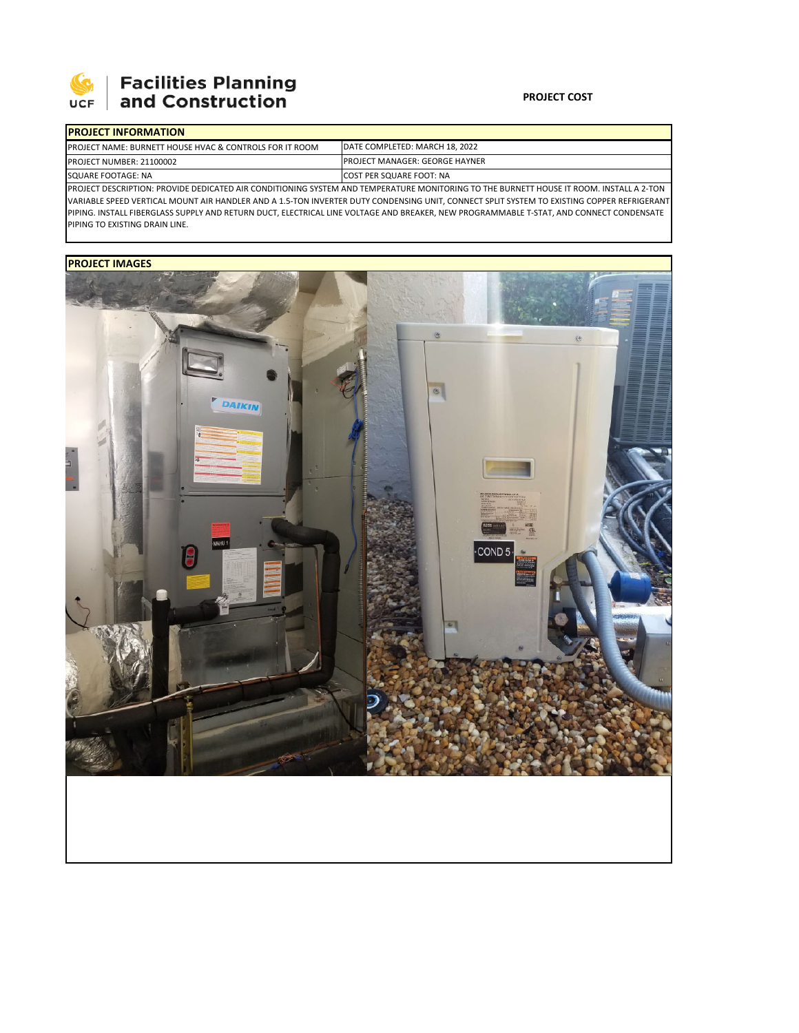

## **Facilities Planning<br>and Construction**

## **PROJECT COST**

| <b>IPROJECT INFORMATION</b>                                                                                                             |                                        |  |  |  |  |  |
|-----------------------------------------------------------------------------------------------------------------------------------------|----------------------------------------|--|--|--|--|--|
| <b>IPROJECT NAME: BURNETT HOUSE HVAC &amp; CONTROLS FOR IT ROOM</b>                                                                     | DATE COMPLETED: MARCH 18, 2022         |  |  |  |  |  |
| <b>PROJECT NUMBER: 21100002</b>                                                                                                         | <b>IPROJECT MANAGER: GEORGE HAYNER</b> |  |  |  |  |  |
| <b>SQUARE FOOTAGE: NA</b>                                                                                                               | <b>COST PER SQUARE FOOT: NA</b>        |  |  |  |  |  |
| IPROJECT DESCRIPTION: PROVIDE DEDICATED AIR CONDITIONING SYSTEM AND TEMPERATURE MONITORING TO THE BURNETT HOUSE IT ROOM INSTALL A 2-TON |                                        |  |  |  |  |  |

PROJECT DESCRIPTION: PROVIDE DEDICATED AIR CONDITIONING SYSTEM AND TEMPERATURE MONITORING TO THE BURNETT HOUSE IT ROOM. INSTALL A 2‐TON VARIABLE SPEED VERTICAL MOUNT AIR HANDLER AND A 1.5‐TON INVERTER DUTY CONDENSING UNIT, CONNECT SPLIT SYSTEM TO EXISTING COPPER REFRIGERANT PIPING. INSTALL FIBERGLASS SUPPLY AND RETURN DUCT, ELECTRICAL LINE VOLTAGE AND BREAKER, NEW PROGRAMMABLE T‐STAT, AND CONNECT CONDENSATE PIPING TO EXISTING DRAIN LINE.

## **PROJECT IMAGES**